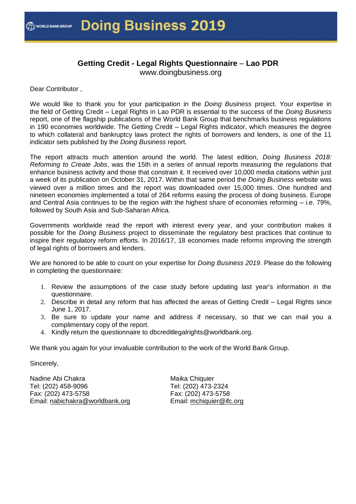# **Getting Credit - Legal Rights Questionnaire** – **Lao PDR**

www.doingbusiness.org

Dear Contributor ,

We would like to thank you for your participation in the *Doing Business* project. Your expertise in the field of Getting Credit – Legal Rights in Lao PDR is essential to the success of the *Doing Business*  report, one of the flagship publications of the World Bank Group that benchmarks business regulations in 190 economies worldwide. The Getting Credit – Legal Rights indicator, which measures the degree to which collateral and bankruptcy laws protect the rights of borrowers and lenders, is one of the 11 indicator sets published by the *Doing Business* report.

The report attracts much attention around the world. The latest edition, *Doing Business 2018: Reforming to Create Jobs*, was the 15th in a series of annual reports measuring the regulations that enhance business activity and those that constrain it. It received over 10,000 media citations within just a week of its publication on October 31, 2017. Within that same period the *Doing Business* website was viewed over a million times and the report was downloaded over 15,000 times. One hundred and nineteen economies implemented a total of 264 reforms easing the process of doing business. Europe and Central Asia continues to be the region with the highest share of economies reforming – i.e. 79%, followed by South Asia and Sub-Saharan Africa.

Governments worldwide read the report with interest every year, and your contribution makes it possible for the *Doing Business* project to disseminate the regulatory best practices that continue to inspire their regulatory reform efforts. In 2016/17, 18 economies made reforms improving the strength of legal rights of borrowers and lenders.

We are honored to be able to count on your expertise for *Doing Business 2019*. Please do the following in completing the questionnaire:

- 1. Review the assumptions of the case study before updating last year's information in the questionnaire.
- 2. Describe in detail any reform that has affected the areas of Getting Credit Legal Rights since June 1, 2017.
- 3. Be sure to update your name and address if necessary, so that we can mail you a complimentary copy of the report.
- 4. Kindly return the questionnaire to dbcreditlegalrights@worldbank.org.

We thank you again for your invaluable contribution to the work of the World Bank Group.

Sincerely,

Nadine Abi Chakra Tel: (202) 458-9096 Fax: (202) 473-5758 Email: nabichakra@worldbank.org

Maika Chiquier Tel: (202) 473-2324 Fax: (202) 473-5758 Email: mchiquier@ifc.org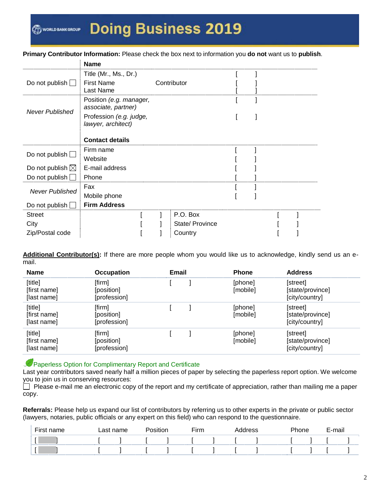#### **Primary Contributor Information:** Please check the box next to information you **do not** want us to **publish**.

|                            | <b>Name</b>                                    |                 |  |  |  |
|----------------------------|------------------------------------------------|-----------------|--|--|--|
|                            | Title (Mr., Ms., Dr.)                          |                 |  |  |  |
| Do not publish $\Box$      | <b>First Name</b>                              | Contributor     |  |  |  |
|                            | Last Name                                      |                 |  |  |  |
| <b>Never Published</b>     | Position (e.g. manager,<br>associate, partner) |                 |  |  |  |
|                            | Profession (e.g. judge,<br>lawyer, architect)  |                 |  |  |  |
|                            |                                                |                 |  |  |  |
|                            | <b>Contact details</b>                         |                 |  |  |  |
| Do not publish $\square$   | Firm name                                      |                 |  |  |  |
|                            | Website                                        |                 |  |  |  |
| Do not publish $\boxtimes$ | E-mail address                                 |                 |  |  |  |
| Do not publish $\Box$      | Phone                                          |                 |  |  |  |
| <b>Never Published</b>     | Fax                                            |                 |  |  |  |
|                            | Mobile phone                                   |                 |  |  |  |
| Do not publish __          | <b>Firm Address</b>                            |                 |  |  |  |
| <b>Street</b>              |                                                | P.O. Box        |  |  |  |
| City                       |                                                | State/ Province |  |  |  |
| Zip/Postal code            |                                                | Country         |  |  |  |
|                            |                                                |                 |  |  |  |

**Additional Contributor(s):** If there are more people whom you would like us to acknowledge, kindly send us an email.

| <b>Name</b>                            | <b>Occupation</b>                    | Email | <b>Phone</b>        | <b>Address</b>                                 |
|----------------------------------------|--------------------------------------|-------|---------------------|------------------------------------------------|
| [title]<br>[first name]<br>[last name] | [firm]<br>[position]<br>[profession] |       | [phone]<br>[mobile] | [street]<br>[state/province]<br>[city/country] |
| [title]<br>[first name]<br>[last name] | [firm]<br>[position]<br>[profession] |       | [phone]<br>[mobile] | [street]<br>[state/province]<br>[city/country] |
| [title]<br>[first name]<br>[last name] | [firm]<br>[position]<br>[profession] |       | [phone]<br>[mobile] | [street]<br>[state/province]<br>[city/country] |

Paperless Option for Complimentary Report and Certificate

Last year contributors saved nearly half a million pieces of paper by selecting the paperless report option. We welcome you to join us in conserving resources:

Please e-mail me an electronic copy of the report and my certificate of appreciation, rather than mailing me a paper copy.

**Referrals:** Please help us expand our list of contributors by referring us to other experts in the private or public sector (lawyers, notaries, public officials or any expert on this field) who can respond to the questionnaire.

| First name | Last name | Position | $F$ irm | \ddress | Phone | E-mail |  |
|------------|-----------|----------|---------|---------|-------|--------|--|
|            |           |          |         |         |       |        |  |
|            |           |          |         |         |       |        |  |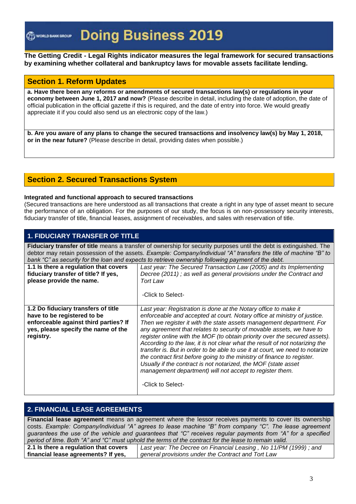#### **The Getting Credit - Legal Rights indicator measures the legal framework for secured transactions by examining whether collateral and bankruptcy laws for movable assets facilitate lending.**

# **Section 1. Reform Updates**

**a. Have there been any reforms or amendments of secured transactions law(s) or regulations in your economy between June 1, 2017 and now?** (Please describe in detail, including the date of adoption, the date of official publication in the official gazette if this is required, and the date of entry into force. We would greatly appreciate it if you could also send us an electronic copy of the law.)

**b. Are you aware of any plans to change the secured transactions and insolvency law(s) by May 1, 2018, or in the near future?** (Please describe in detail, providing dates when possible.)

# **Section 2. Secured Transactions System**

#### **Integrated and functional approach to secured transactions**

(Secured transactions are here understood as all transactions that create a right in any type of asset meant to secure the performance of an obligation. For the purposes of our study, the focus is on non-possessory security interests, fiduciary transfer of title, financial leases, assignment of receivables, and sales with reservation of title.

#### **1. FIDUCIARY TRANSFER OF TITLE**

**Fiduciary transfer of title** means a transfer of ownership for security purposes until the debt is extinguished. The debtor may retain possession of the assets. *Example: Company/individual "A" transfers the title of machine "B" to bank "C" as security for the loan and expects to retrieve ownership following payment of the debt.*

| 1.1 Is there a regulation that covers<br>fiduciary transfer of title? If yes,<br>please provide the name.                                                       | Last year: The Secured Transaction Law (2005) and its Implementing<br>Decree (2011); as well as general provisions under the Contract and<br>Tort Law<br>-Click to Select-                                                                                                                                                                                                                                                                                                                                                                                                                                                                                                                                                                                             |
|-----------------------------------------------------------------------------------------------------------------------------------------------------------------|------------------------------------------------------------------------------------------------------------------------------------------------------------------------------------------------------------------------------------------------------------------------------------------------------------------------------------------------------------------------------------------------------------------------------------------------------------------------------------------------------------------------------------------------------------------------------------------------------------------------------------------------------------------------------------------------------------------------------------------------------------------------|
| 1.2 Do fiduciary transfers of title<br>have to be registered to be<br>enforceable against third parties? If<br>yes, please specify the name of the<br>registry. | Last year: Registration is done at the Notary office to make it<br>enforceable and accepted at court. Notary office at ministry of justice.<br>Then we register it with the state assets management department. For<br>any agreement that relates to security of movable assets, we have to<br>register online with the MOF (to obtain priority over the secured assets).<br>According to the law, it is not clear what the result of not notarizing the<br>transfer is. But in order to be able to use it at court, we need to notarize<br>the contract first before going to the ministry of finance to register.<br>Usually if the contract is not notarized, the MOF (state asset<br>management department) will not accept to register them.<br>-Click to Select- |

# **2. FINANCIAL LEASE AGREEMENTS**

**Financial lease agreement** means an agreement where the lessor receives payments to cover its ownership costs. *Example: Company/individual "A" agrees to lease machine "B" from company "C". The lease agreement guarantees the use of the vehicle and guarantees that "C" receives regular payments from "A" for a specified period of time. Both "A" and "C" must uphold the terms of the contract for the lease to remain valid.*

**2.1 Is there a regulation that covers financial lease agreements? If yes,**  *Last year: The Decree on Financial Leasing , No 11/PM (1999) ; and general provisions under the Contract and Tort Law*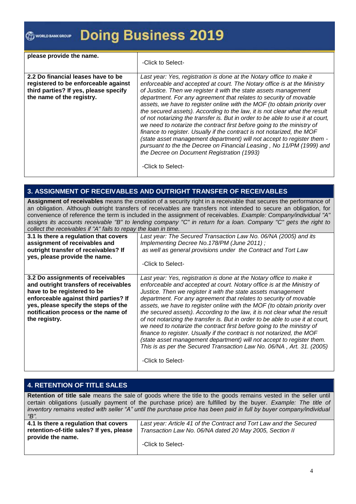#### WORLD BANK GROUP

# **Doing Business 2019**

| please provide the name.                                                                                                                         | -Click to Select-                                                                                                                                                                                                                                                                                                                                                                                                                                                                                                                                                                                                                                                                                                                                                                                                                                                                                             |
|--------------------------------------------------------------------------------------------------------------------------------------------------|---------------------------------------------------------------------------------------------------------------------------------------------------------------------------------------------------------------------------------------------------------------------------------------------------------------------------------------------------------------------------------------------------------------------------------------------------------------------------------------------------------------------------------------------------------------------------------------------------------------------------------------------------------------------------------------------------------------------------------------------------------------------------------------------------------------------------------------------------------------------------------------------------------------|
| 2.2 Do financial leases have to be<br>registered to be enforceable against<br>third parties? If yes, please specify<br>the name of the registry. | Last year: Yes, registration is done at the Notary office to make it<br>enforceable and accepted at court. The Notary office is at the Ministry<br>of Justice. Then we register it with the state assets management<br>department. For any agreement that relates to security of movable<br>assets, we have to register online with the MOF (to obtain priority over<br>the secured assets). According to the law, it is not clear what the result<br>of not notarizing the transfer is. But in order to be able to use it at court,<br>we need to notarize the contract first before going to the ministry of<br>finance to register. Usually if the contract is not notarized, the MOF<br>(state asset management department) will not accept to register them -<br>pursuant to the the Decree on Financial Leasing, No 11/PM (1999) and<br>the Decree on Document Registration (1993)<br>-Click to Select- |

# **3. ASSIGNMENT OF RECEIVABLES AND OUTRIGHT TRANSFER OF RECEIVABLES**

**Assignment of receivables** means the creation of a security right in a receivable that secures the performance of an obligation. Although outright transfers of receivables are transfers not intended to secure an obligation, for convenience of reference the term is included in the assignment of receivables. *Example: Company/individual "A" assigns its accounts receivable "B" to lending company "C" in return for a loan. Company "C" gets the right to collect the receivables if "A" fails to repay the loan in time.*

| 3.1 Is there a regulation that covers                                                                                                                                                                                                              | Last year: The Secured Transaction Law No. 06/NA (2005) and its                                                                                                                                                                                                                                                                                                                                                                                                                                                                                                                                                                                                                                                                                                                                                                                             |
|----------------------------------------------------------------------------------------------------------------------------------------------------------------------------------------------------------------------------------------------------|-------------------------------------------------------------------------------------------------------------------------------------------------------------------------------------------------------------------------------------------------------------------------------------------------------------------------------------------------------------------------------------------------------------------------------------------------------------------------------------------------------------------------------------------------------------------------------------------------------------------------------------------------------------------------------------------------------------------------------------------------------------------------------------------------------------------------------------------------------------|
| assignment of receivables and                                                                                                                                                                                                                      | Implementing Decree No. 178/PM (June 2011);                                                                                                                                                                                                                                                                                                                                                                                                                                                                                                                                                                                                                                                                                                                                                                                                                 |
| outright transfer of receivables? If                                                                                                                                                                                                               | as well as general provisions under the Contract and Tort Law                                                                                                                                                                                                                                                                                                                                                                                                                                                                                                                                                                                                                                                                                                                                                                                               |
| yes, please provide the name.                                                                                                                                                                                                                      | -Click to Select-                                                                                                                                                                                                                                                                                                                                                                                                                                                                                                                                                                                                                                                                                                                                                                                                                                           |
| 3.2 Do assignments of receivables<br>and outright transfers of receivables<br>have to be registered to be<br>enforceable against third parties? If<br>yes, please specify the steps of the<br>notification process or the name of<br>the registry. | Last year: Yes, registration is done at the Notary office to make it<br>enforceable and accepted at court. Notary office is at the Ministry of<br>Justice. Then we register it with the state assets management<br>department. For any agreement that relates to security of movable<br>assets, we have to register online with the MOF (to obtain priority over<br>the secured assets). According to the law, it is not clear what the result<br>of not notarizing the transfer is. But in order to be able to use it at court,<br>we need to notarize the contract first before going to the ministry of<br>finance to register. Usually if the contract is not notarized, the MOF<br>(state asset management department) will not accept to register them.<br>This is as per the Secured Transaction Law No. 06/NA, Art. 31. (2005)<br>-Click to Select- |

#### **4. RETENTION OF TITLE SALES**

**Retention of title sale** means the sale of goods where the title to the goods remains vested in the seller until certain obligations (usually payment of the purchase price) are fulfilled by the buyer. *Example: The title of inventory remains vested with seller "A" until the purchase price has been paid in full by buyer company/individual "B".*

| Last year: Article 41 of the Contract and Tort Law and the Secured |
|--------------------------------------------------------------------|
| Transaction Law No. 06/NA dated 20 May 2005, Section II            |
| -Click to Select-                                                  |
|                                                                    |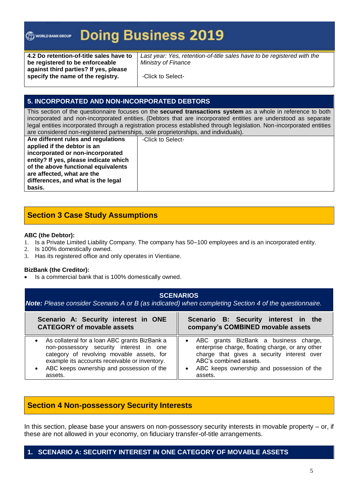#### **Doing Business 2019** WORLD BANK GROUP

**4.2 Do retention-of-title sales have to be registered to be enforceable against third parties? If yes, please specify the name of the registry.**

Last year: Yes, retention-of-title sales have to be registered with the *Ministry of Finance*

-Click to Select-

### **5. INCORPORATED AND NON-INCORPORATED DEBTORS**

This section of the questionnaire focuses on the **secured transactions system** as a whole in reference to both incorporated and non-incorporated entities. (Debtors that are incorporated entities are understood as separate legal entities incorporated through a registration process established through legislation. Non-incorporated entities are considered non-registered partnerships, sole proprietorships, and individuals).

**Are different rules and regulations applied if the debtor is an incorporated or non-incorporated entity? If yes, please indicate which of the above functional equivalents are affected, what are the differences, and what is the legal basis.**

-Click to Select-

# **Section 3 Case Study Assumptions**

#### **ABC (the Debtor):**

- 1. Is a Private Limited Liability Company. The company has 50–100 employees and is an incorporated entity.
- 2. Is 100% domestically owned.
- 3. Has its registered office and only operates in Vientiane.

#### **BizBank (the Creditor):**

Is a commercial bank that is 100% domestically owned.

| <b>SCENARIOS</b><br>Note: Please consider Scenario A or B (as indicated) when completing Section 4 of the questionnaire.                                                                                                                                    |                                                                                                                                                                                                                                                     |  |  |  |
|-------------------------------------------------------------------------------------------------------------------------------------------------------------------------------------------------------------------------------------------------------------|-----------------------------------------------------------------------------------------------------------------------------------------------------------------------------------------------------------------------------------------------------|--|--|--|
| Scenario A: Security interest in ONE<br><b>CATEGORY of movable assets</b>                                                                                                                                                                                   | Scenario B: Security interest in the<br>company's COMBINED movable assets                                                                                                                                                                           |  |  |  |
| As collateral for a loan ABC grants BizBank a<br>$\bullet$<br>non-possessory security interest in one<br>category of revolving movable assets, for<br>example its accounts receivable or inventory.<br>ABC keeps ownership and possession of the<br>assets. | ABC grants BizBank a business charge,<br>$\bullet$<br>enterprise charge, floating charge, or any other<br>charge that gives a security interest over<br>ABC's combined assets.<br>ABC keeps ownership and possession of the<br>$\bullet$<br>assets. |  |  |  |

# **Section 4 Non-possessory Security Interests**

In this section, please base your answers on non-possessory security interests in movable property – or, if these are not allowed in your economy, on fiduciary transfer-of-title arrangements.

# **1. SCENARIO A: SECURITY INTEREST IN ONE CATEGORY OF MOVABLE ASSETS**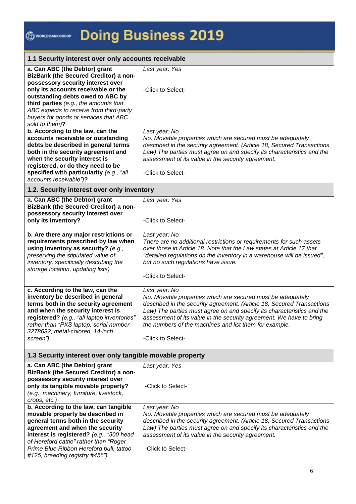#### **1.1 Security interest over only accounts receivable a. Can ABC (the Debtor) grant BizBank (the Secured Creditor) a nonpossessory security interest over only its accounts receivable or the outstanding debts owed to ABC by third parties** *(e.g., the amounts that ABC expects to receive from third-party buyers for goods or services that ABC sold to them)***?** *Last year: Yes* -Click to Select**b. According to the law, can the accounts receivable or outstanding debts be described in general terms both in the security agreement and when the security interest is registered, or do they need to be specified with particularity** *(e.g., "all accounts receivable")***?**  *Last year: No No. Movable properties which are secured must be adequately described in the security agreement. (Article 18, Secured Transactions Law) The parties must agree on and specify its characteristics and the assessment of its value in the security agreement.* -Click to Select-**1.2. Security interest over only inventory a. Can ABC (the Debtor) grant BizBank (the Secured Creditor) a nonpossessory security interest over only its inventory?** *Last year: Yes* -Click to Select**b. Are there any major restrictions or requirements prescribed by law when using inventory as security?** *(e.g., preserving the stipulated value of inventory, specifically describing the storage location, updating lists) Last year: No There are no additional restrictions or requirements for such assets over those in Article 18. Note that the Law states at Article 17 that "detailed regulations on the inventory in a warehouse will be issued", but no such regulations have issue.* -Click to Select**c. According to the law, can the inventory be described in general terms both in the security agreement and when the security interest is registered?** *(e.g., "all laptop inventories" rather than "PXS laptop, serial number 3278632, metal-colored, 14-inch screen") Last year: No No. Movable properties which are secured must be adequately described in the security agreement. (Article 18, Secured Transactions Law) The parties must agree on and specify its characteristics and the assessment of its value in the security agreement. We have to bring the numbers of the machines and list them for example.* -Click to Select-**1.3 Security interest over only tangible movable property**

| a. Can ABC (the Debtor) grant<br><b>BizBank (the Secured Creditor) a non-</b>                                                       | Last year: Yes                                                         |
|-------------------------------------------------------------------------------------------------------------------------------------|------------------------------------------------------------------------|
| possessory security interest over<br>only its tangible movable property?<br>(e.g., machinery, furniture, livestock,<br>crops, etc.) | -Click to Select-                                                      |
| b. According to the law, can tangible                                                                                               | Last year: No                                                          |
| movable property be described in                                                                                                    | No. Movable properties which are secured must be adequately            |
| general terms both in the security                                                                                                  | described in the security agreement. (Article 18, Secured Transactions |
| agreement and when the security                                                                                                     | Law) The parties must agree on and specify its characteristics and the |
| interest is registered? (e.g., "300 head                                                                                            | assessment of its value in the security agreement.                     |
| of Hereford cattle" rather than "Roger                                                                                              |                                                                        |
| Prime Blue Ribbon Hereford bull, tattoo                                                                                             | -Click to Select-                                                      |
| #125, breeding registry #456")                                                                                                      |                                                                        |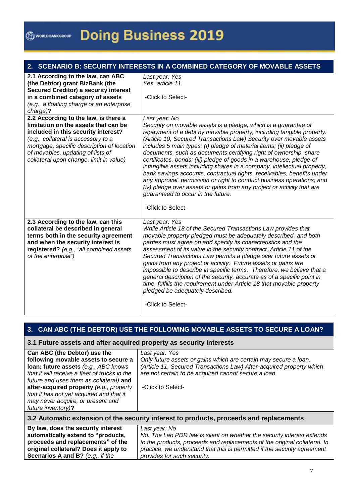|  |  | 2. SCENARIO B: SECURITY INTERESTS IN A COMBINED CATEGORY OF MOVABLE ASSETS |
|--|--|----------------------------------------------------------------------------|
|  |  |                                                                            |

| 2.1 According to the law, can ABC            | Last year: Yes                                                          |
|----------------------------------------------|-------------------------------------------------------------------------|
| (the Debtor) grant BizBank (the              | Yes, article 11                                                         |
| <b>Secured Creditor) a security interest</b> |                                                                         |
| in a combined category of assets             | -Click to Select-                                                       |
| (e.g., a floating charge or an enterprise    |                                                                         |
| $charge$ ?                                   |                                                                         |
| 2.2 According to the law, is there a         | Last year: No                                                           |
| limitation on the assets that can be         | Security on movable assets is a pledge, which is a guarantee of         |
| included in this security interest?          | repayment of a debt by movable property, including tangible property.   |
| (e.g., collateral is accessory to a          | (Article 10, Secured Transactions Law) Security over movable assets     |
| mortgage, specific description of location   | includes 5 main types: (i) pledge of material items; (ii) pledge of     |
| of movables, updating of lists of            | documents, such as documents certifying right of ownership, share       |
| collateral upon change, limit in value)      | certificates, bonds; (iii) pledge of goods in a warehouse, pledge of    |
|                                              | intangible assets including shares in a company, intellectual property, |
|                                              | bank savings accounts, contractual rights, receivables, benefits under  |
|                                              | any approval, permission or right to conduct business operations; and   |
|                                              | (iv) pledge over assets or gains from any project or activity that are  |
|                                              | guaranteed to occur in the future.                                      |
|                                              |                                                                         |
|                                              | -Click to Select-                                                       |
| 2.3 According to the law, can this           | Last year: Yes                                                          |
| collateral be described in general           | While Article 18 of the Secured Transactions Law provides that          |
| terms both in the security agreement         | movable property pledged must be adequately described, and both         |
| and when the security interest is            | parties must agree on and specify its characteristics and the           |
| registered? (e.g., "all combined assets      | assessment of its value in the security contract, Article 11 of the     |
| of the enterprise")                          | Secured Transactions Law permits a pledge over future assets or         |
|                                              | gains from any project or activity. Future assets or gains are          |
|                                              | impossible to describe in specific terms. Therefore, we believe that a  |
|                                              | general description of the security, accurate as of a specific point in |
|                                              | time, fulfills the requirement under Article 18 that movable property   |
|                                              | pledged be adequately described.                                        |
|                                              |                                                                         |
|                                              |                                                                         |
|                                              | -Click to Select-                                                       |

**3. CAN ABC (THE DEBTOR) USE THE FOLLOWING MOVABLE ASSETS TO SECURE A LOAN?**

#### **3.1 Future assets and after acquired property as security interests**

**original collateral? Does it apply to Scenarios A and B?** *(e.g., if the* 

| Can ABC (the Debtor) use the                  | Last year: Yes                                                       |
|-----------------------------------------------|----------------------------------------------------------------------|
| following movable assets to secure a          | Only future assets or gains which are certain may secure a loan.     |
| loan: future assets (e.g., ABC knows          | (Article 11, Secured Transactions Law) After-acquired property which |
| that it will receive a fleet of trucks in the | are not certain to be acquired cannot secure a loan.                 |
| future and uses them as collateral) and       |                                                                      |
| after-acquired property (e.g., property       | -Click to Select-                                                    |
| that it has not yet acquired and that it      |                                                                      |
| may never acquire, or present and             |                                                                      |
| future inventory)?                            |                                                                      |

| 3.2 Automatic extension of the security interest to products, proceeds and replacements |                                                                           |
|-----------------------------------------------------------------------------------------|---------------------------------------------------------------------------|
| By law, does the security interest                                                      | Last vear: No                                                             |
| automatically extend to "products,                                                      | No. The Lao PDR law is silent on whether the security interest extends    |
| proceeds and replacements" of the                                                       | to the products, proceeds and replacements of the original collateral. In |

*provides for such security.*

*practice, we understand that this is permitted if the security agreement*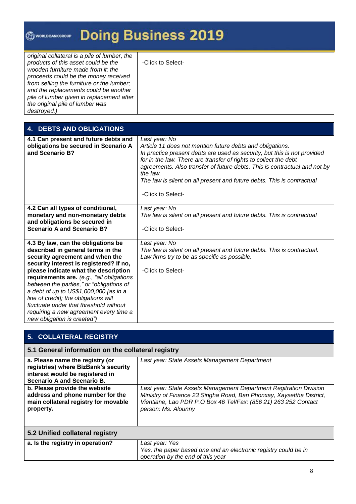| <b>@www.www.org Doing Business 2019</b>                                                                                                                                                                                                                                                                                                                |                   |
|--------------------------------------------------------------------------------------------------------------------------------------------------------------------------------------------------------------------------------------------------------------------------------------------------------------------------------------------------------|-------------------|
| original collateral is a pile of lumber, the<br>products of this asset could be the<br>wooden furniture made from it; the<br>proceeds could be the money received<br>from selling the furniture or the lumber;<br>and the replacements could be another<br>pile of lumber given in replacement after<br>the original pile of lumber was<br>destroyed.) | -Click to Select- |

| <b>DEBTS AND OBLIGATIONS</b><br>4.                                                                                                                                                                                                                                                                                                                                                                                                                                                           |                                                                                                                                                                                                                                                                                                                                                                                                                    |
|----------------------------------------------------------------------------------------------------------------------------------------------------------------------------------------------------------------------------------------------------------------------------------------------------------------------------------------------------------------------------------------------------------------------------------------------------------------------------------------------|--------------------------------------------------------------------------------------------------------------------------------------------------------------------------------------------------------------------------------------------------------------------------------------------------------------------------------------------------------------------------------------------------------------------|
| 4.1 Can present and future debts and<br>obligations be secured in Scenario A<br>and Scenario B?                                                                                                                                                                                                                                                                                                                                                                                              | Last year: No<br>Article 11 does not mention future debts and obligations.<br>In practice present debts are used as security, but this is not provided<br>for in the law. There are transfer of rights to collect the debt<br>agreements. Also transfer of future debts. This is contractual and not by<br>the law.<br>The law is silent on all present and future debts. This is contractual<br>-Click to Select- |
| 4.2 Can all types of conditional,<br>monetary and non-monetary debts<br>and obligations be secured in<br><b>Scenario A and Scenario B?</b>                                                                                                                                                                                                                                                                                                                                                   | Last year: No<br>The law is silent on all present and future debts. This is contractual<br>-Click to Select-                                                                                                                                                                                                                                                                                                       |
| 4.3 By law, can the obligations be<br>described in general terms in the<br>security agreement and when the<br>security interest is registered? If no,<br>please indicate what the description<br>requirements are. (e.g., "all obligations<br>between the parties," or "obligations of<br>a debt of up to US\$1,000,000 [as in a<br>line of credit]; the obligations will<br>fluctuate under that threshold without<br>requiring a new agreement every time a<br>new obligation is created") | Last year: No<br>The law is silent on all present and future debts. This is contractual.<br>Law firms try to be as specific as possible.<br>-Click to Select-                                                                                                                                                                                                                                                      |

| 5. COLLATERAL REGISTRY                                                                                                                          |                                                                                                                                                                                                                                      |  |
|-------------------------------------------------------------------------------------------------------------------------------------------------|--------------------------------------------------------------------------------------------------------------------------------------------------------------------------------------------------------------------------------------|--|
| 5.1 General information on the collateral registry                                                                                              |                                                                                                                                                                                                                                      |  |
| a. Please name the registry (or<br>registries) where BizBank's security<br>interest would be registered in<br><b>Scenario A and Scenario B.</b> | Last year: State Assets Management Department                                                                                                                                                                                        |  |
| b. Please provide the website<br>address and phone number for the<br>main collateral registry for movable<br>property.                          | Last year: State Assets Management Department Regitration Division<br>Ministry of Finance 23 Singha Road, Ban Phonxay, Xaysettha District,<br>Vientiane, Lao PDR P.O Box 46 Tel/Fax: (856 21) 263 252 Contact<br>person: Ms. Alounny |  |
| 5.2 Unified collateral registry                                                                                                                 |                                                                                                                                                                                                                                      |  |
| a. Is the registry in operation?                                                                                                                | Last year: Yes<br>Yes, the paper based one and an electronic registry could be in<br>operation by the end of this year                                                                                                               |  |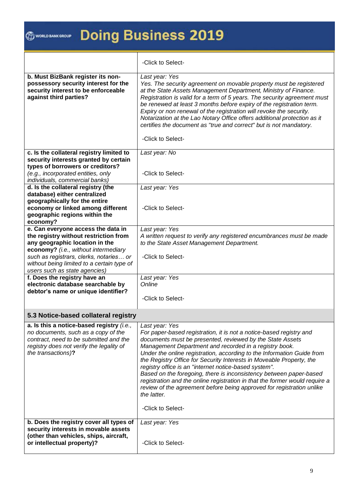|                                                                                                                                                                                              | -Click to Select-                                                                                                                                                                                                                                                                                                                                                                                                                                                                                                                                                                                                                                                                         |
|----------------------------------------------------------------------------------------------------------------------------------------------------------------------------------------------|-------------------------------------------------------------------------------------------------------------------------------------------------------------------------------------------------------------------------------------------------------------------------------------------------------------------------------------------------------------------------------------------------------------------------------------------------------------------------------------------------------------------------------------------------------------------------------------------------------------------------------------------------------------------------------------------|
| b. Must BizBank register its non-<br>possessory security interest for the<br>security interest to be enforceable<br>against third parties?                                                   | Last year: Yes<br>Yes. The security agreement on movable property must be registered<br>at the State Assets Management Department, Ministry of Finance.<br>Registration is valid for a term of 5 years. The security agreement must<br>be renewed at least 3 months before expiry of the registration term.<br>Expiry or non renewal of the registration will revoke the security.<br>Notarization at the Lao Notary Office offers additional protection as it<br>certifies the document as "true and correct" but is not mandatory.<br>-Click to Select-                                                                                                                                 |
| c. Is the collateral registry limited to<br>security interests granted by certain                                                                                                            | Last year: No                                                                                                                                                                                                                                                                                                                                                                                                                                                                                                                                                                                                                                                                             |
| types of borrowers or creditors?                                                                                                                                                             |                                                                                                                                                                                                                                                                                                                                                                                                                                                                                                                                                                                                                                                                                           |
| (e.g., incorporated entities, only<br>individuals, commercial banks)                                                                                                                         | -Click to Select-                                                                                                                                                                                                                                                                                                                                                                                                                                                                                                                                                                                                                                                                         |
| d. Is the collateral registry (the<br>database) either centralized                                                                                                                           | Last year: Yes                                                                                                                                                                                                                                                                                                                                                                                                                                                                                                                                                                                                                                                                            |
| geographically for the entire<br>economy or linked among different<br>geographic regions within the                                                                                          | -Click to Select-                                                                                                                                                                                                                                                                                                                                                                                                                                                                                                                                                                                                                                                                         |
| economy?<br>e. Can everyone access the data in                                                                                                                                               | Last year: Yes                                                                                                                                                                                                                                                                                                                                                                                                                                                                                                                                                                                                                                                                            |
| the registry without restriction from                                                                                                                                                        | A written request to verify any registered encumbrances must be made                                                                                                                                                                                                                                                                                                                                                                                                                                                                                                                                                                                                                      |
| any geographic location in the<br>economy? (i.e., without intermediary                                                                                                                       | to the State Asset Management Department.                                                                                                                                                                                                                                                                                                                                                                                                                                                                                                                                                                                                                                                 |
| such as registrars, clerks, notaries or<br>without being limited to a certain type of                                                                                                        | -Click to Select-                                                                                                                                                                                                                                                                                                                                                                                                                                                                                                                                                                                                                                                                         |
| users such as state agencies)<br>f. Does the registry have an                                                                                                                                | Last year: Yes                                                                                                                                                                                                                                                                                                                                                                                                                                                                                                                                                                                                                                                                            |
| electronic database searchable by                                                                                                                                                            | Online                                                                                                                                                                                                                                                                                                                                                                                                                                                                                                                                                                                                                                                                                    |
| debtor's name or unique identifier?                                                                                                                                                          | -Click to Select-                                                                                                                                                                                                                                                                                                                                                                                                                                                                                                                                                                                                                                                                         |
|                                                                                                                                                                                              |                                                                                                                                                                                                                                                                                                                                                                                                                                                                                                                                                                                                                                                                                           |
| 5.3 Notice-based collateral registry                                                                                                                                                         |                                                                                                                                                                                                                                                                                                                                                                                                                                                                                                                                                                                                                                                                                           |
| a. Is this a notice-based registry (i.e.,<br>no documents, such as a copy of the<br>contract, need to be submitted and the<br>registry does not verify the legality of<br>the transactions)? | Last year: Yes<br>For paper-based registration, it is not a notice-based registry and<br>documents must be presented, reviewed by the State Assets<br>Management Department and recorded in a registry book.<br>Under the online registration, according to the Information Guide from<br>the Registry Office for Security Interests in Moveable Property, the<br>registry office is an "internet notice-based system".<br>Based on the foregoing, there is inconsistency between paper-based<br>registration and the online registration in that the former would require a<br>review of the agreement before being approved for registration unlike<br>the latter.<br>-Click to Select- |
| b. Does the registry cover all types of<br>security interests in movable assets<br>(other than vehicles, ships, aircraft,<br>or intellectual property)?                                      | Last year: Yes<br>-Click to Select-                                                                                                                                                                                                                                                                                                                                                                                                                                                                                                                                                                                                                                                       |
|                                                                                                                                                                                              |                                                                                                                                                                                                                                                                                                                                                                                                                                                                                                                                                                                                                                                                                           |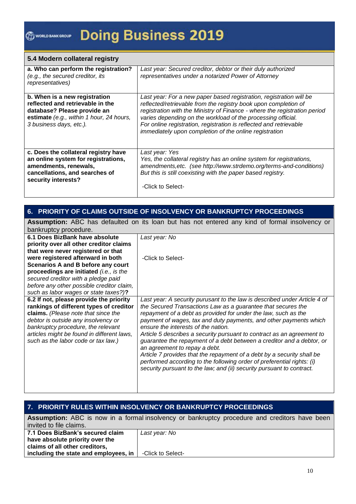#### **5.4 Modern collateral registry**

| a. Who can perform the registration?<br>(e.g., the secured creditor, its<br><i>representatives</i> )                                                                    | Last year: Secured creditor, debtor or their duly authorized<br>representatives under a notarized Power of Attorney                                                                                                                                                                                                                                                                                                 |
|-------------------------------------------------------------------------------------------------------------------------------------------------------------------------|---------------------------------------------------------------------------------------------------------------------------------------------------------------------------------------------------------------------------------------------------------------------------------------------------------------------------------------------------------------------------------------------------------------------|
| b. When is a new registration<br>reflected and retrievable in the<br>database? Please provide an<br>estimate (e.g., within 1 hour, 24 hours,<br>3 business days, etc.). | Last year: For a new paper based registration, registration will be<br>reflected/retrievable from the registry book upon completion of<br>registration with the Ministry of Finance - where the registration period<br>varies depending on the workload of the processing official.<br>For online registration, registration is reflected and retrievable<br>immediately upon completion of the online registration |
| c. Does the collateral registry have<br>an online system for registrations,<br>amendments, renewals,<br>cancellations, and searches of<br>security interests?           | Last year: Yes<br>Yes, the collateral registry has an online system for registrations,<br>amendments, etc. (see http://www.strdemo.org/terms-and-conditions)<br>But this is still coexisting with the paper based registry.<br>-Click to Select-                                                                                                                                                                    |

## **6. PRIORITY OF CLAIMS OUTSIDE OF INSOLVENCY OR BANKRUPTCY PROCEEDINGS**

**Assumption:** ABC has defaulted on its loan but has not entered any kind of formal insolvency or bankruptcy procedure.

| 6.1 Does BizBank have absolute                                                                                                                                                                                                                                                              | Last year: No                                                                                                                                                                                                                                                                                                                                                                                                                                                                                                                                                                                                                                                                                                                            |
|---------------------------------------------------------------------------------------------------------------------------------------------------------------------------------------------------------------------------------------------------------------------------------------------|------------------------------------------------------------------------------------------------------------------------------------------------------------------------------------------------------------------------------------------------------------------------------------------------------------------------------------------------------------------------------------------------------------------------------------------------------------------------------------------------------------------------------------------------------------------------------------------------------------------------------------------------------------------------------------------------------------------------------------------|
| priority over all other creditor claims                                                                                                                                                                                                                                                     |                                                                                                                                                                                                                                                                                                                                                                                                                                                                                                                                                                                                                                                                                                                                          |
| that were never registered or that                                                                                                                                                                                                                                                          |                                                                                                                                                                                                                                                                                                                                                                                                                                                                                                                                                                                                                                                                                                                                          |
| were registered afterward in both                                                                                                                                                                                                                                                           | -Click to Select-                                                                                                                                                                                                                                                                                                                                                                                                                                                                                                                                                                                                                                                                                                                        |
| <b>Scenarios A and B before any court</b>                                                                                                                                                                                                                                                   |                                                                                                                                                                                                                                                                                                                                                                                                                                                                                                                                                                                                                                                                                                                                          |
| proceedings are initiated (i.e., is the                                                                                                                                                                                                                                                     |                                                                                                                                                                                                                                                                                                                                                                                                                                                                                                                                                                                                                                                                                                                                          |
| secured creditor with a pledge paid                                                                                                                                                                                                                                                         |                                                                                                                                                                                                                                                                                                                                                                                                                                                                                                                                                                                                                                                                                                                                          |
| before any other possible creditor claim,                                                                                                                                                                                                                                                   |                                                                                                                                                                                                                                                                                                                                                                                                                                                                                                                                                                                                                                                                                                                                          |
| such as labor wages or state taxes?)?                                                                                                                                                                                                                                                       |                                                                                                                                                                                                                                                                                                                                                                                                                                                                                                                                                                                                                                                                                                                                          |
| 6.2 If not, please provide the priority<br>rankings of different types of creditor<br>claims. (Please note that since the<br>debtor is outside any insolvency or<br>bankruptcy procedure, the relevant<br>articles might be found in different laws,<br>such as the labor code or tax law.) | Last year: A security purusant to the law is described under Article 4 of<br>the Secured Transactions Law as a guarantee that secures the<br>repayment of a debt as provided for under the law, such as the<br>payment of wages, tax and duty payments, and other payments which<br>ensure the interests of the nation.<br>Article 5 describes a security pursuant to contract as an agreement to<br>guarantee the repayment of a debt between a creditor and a debtor, or<br>an agreement to repay a debt.<br>Article 7 provides that the repayment of a debt by a security shall be<br>performed according to the following order of preferential rights: (i)<br>security pursuant to the law; and (ii) security pursuant to contract. |

# **7. PRIORITY RULES WITHIN INSOLVENCY OR BANKRUPTCY PROCEEDINGS**

| <b>Assumption:</b> ABC is now in a formal insolvency or bankruptcy procedure and creditors have been |                   |
|------------------------------------------------------------------------------------------------------|-------------------|
| invited to file claims.                                                                              |                   |
| 7.1 Does BizBank's secured claim                                                                     | Last year: No     |
| have absolute priority over the                                                                      |                   |
| claims of all other creditors,                                                                       |                   |
| including the state and employees, in                                                                | -Click to Select- |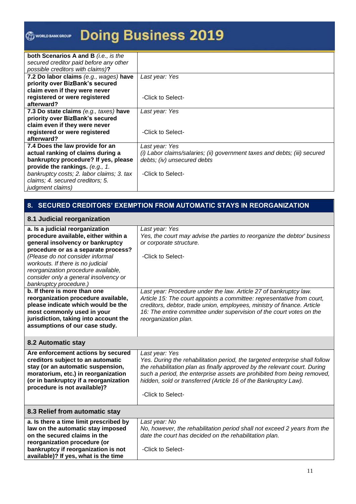# **Doing Business 2019 WORLD BANK GROUP**

| both Scenarios A and B (i.e., is the      |                                                                           |
|-------------------------------------------|---------------------------------------------------------------------------|
| secured creditor paid before any other    |                                                                           |
| possible creditors with claims)?          |                                                                           |
| 7.2 Do labor claims (e.g., wages) have    | Last year: Yes                                                            |
| priority over BizBank's secured           |                                                                           |
| claim even if they were never             |                                                                           |
| registered or were registered             | -Click to Select-                                                         |
| afterward?                                |                                                                           |
| 7.3 Do state claims (e.g., taxes) have    | Last year: Yes                                                            |
| priority over BizBank's secured           |                                                                           |
| claim even if they were never             |                                                                           |
| registered or were registered             | -Click to Select-                                                         |
| afterward?                                |                                                                           |
| 7.4 Does the law provide for an           | Last year: Yes                                                            |
| actual ranking of claims during a         | (i) Labor claims/salaries; (ii) government taxes and debts; (iii) secured |
| bankruptcy procedure? If yes, please      | debts; (iv) unsecured debts                                               |
| provide the rankings. (e.g., 1.           |                                                                           |
| bankruptcy costs; 2. labor claims; 3. tax | -Click to Select-                                                         |
| claims; 4. secured creditors; 5.          |                                                                           |
| judgment claims)                          |                                                                           |

# **8. SECURED CREDITORS' EXEMPTION FROM AUTOMATIC STAYS IN REORGANIZATION**

|  |  | 8.1 Judicial reorganization |
|--|--|-----------------------------|
|--|--|-----------------------------|

| a. Is a judicial reorganization        | Last year: Yes                                                              |
|----------------------------------------|-----------------------------------------------------------------------------|
| procedure available, either within a   | Yes, the court may advise the parties to reorganize the debtor' business    |
| general insolvency or bankruptcy       | or corporate structure.                                                     |
| procedure or as a separate process?    |                                                                             |
| (Please do not consider informal       | -Click to Select-                                                           |
| workouts. If there is no judicial      |                                                                             |
| reorganization procedure available,    |                                                                             |
| consider only a general insolvency or  |                                                                             |
| bankruptcy procedure.)                 |                                                                             |
| b. If there is more than one           | Last year: Procedure under the law. Article 27 of bankruptcy law.           |
| reorganization procedure available,    | Article 15: The court appoints a committee: representative from court,      |
| please indicate which would be the     | creditors, debtor, trade union, employees, ministry of finance. Article     |
| most commonly used in your             | 16: The entire committee under supervision of the court votes on the        |
| jurisdiction, taking into account the  | reorganization plan.                                                        |
| assumptions of our case study.         |                                                                             |
|                                        |                                                                             |
| 8.2 Automatic stay                     |                                                                             |
| Are enforcement actions by secured     | Last year: Yes                                                              |
| creditors subject to an automatic      | Yes. During the rehabilitation period, the targeted enterprise shall follow |
| stay (or an automatic suspension,      | the rehabilitation plan as finally approved by the relevant court. During   |
| moratorium, etc.) in reorganization    | such a period, the enterprise assets are prohibited from being removed,     |
| (or in bankruptcy if a reorganization  | hidden, sold or transferred (Article 16 of the Bankruptcy Law).             |
| procedure is not available)?           |                                                                             |
|                                        | -Click to Select-                                                           |
|                                        |                                                                             |
| 8.3 Relief from automatic stay         |                                                                             |
| a. Is there a time limit prescribed by | Last year: No                                                               |
| law on the automatic stay imposed      | No, however, the rehabilitation period shall not exceed 2 years from the    |
| on the secured claims in the           | date the court has decided on the rehabilitation plan.                      |
| reorganization procedure (or           |                                                                             |
| bankruptcy if reorganization is not    | -Click to Select-                                                           |
| available)? If yes, what is the time   |                                                                             |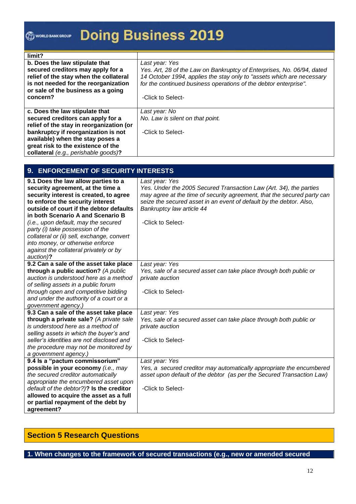# **Doing Business 2019 O WORLD BANK GROUP**

| limit?                                   |                                                                        |
|------------------------------------------|------------------------------------------------------------------------|
| b. Does the law stipulate that           | Last year: Yes                                                         |
| secured creditors may apply for a        | Yes. Art, 28 of the Law on Bankruptcy of Enterprises, No. 06/94, dated |
| relief of the stay when the collateral   | 14 October 1994, applies the stay only to "assets which are necessary  |
| is not needed for the reorganization     | for the continued business operations of the debtor enterprise".       |
| or sale of the business as a going       |                                                                        |
| concern?                                 | -Click to Select-                                                      |
|                                          |                                                                        |
| c. Does the law stipulate that           | Last year: No                                                          |
| secured creditors can apply for a        | No. Law is silent on that point.                                       |
| relief of the stay in reorganization (or |                                                                        |
| bankruptcy if reorganization is not      | -Click to Select-                                                      |
| available) when the stay poses a         |                                                                        |
| great risk to the existence of the       |                                                                        |
| collateral (e.g., perishable goods)?     |                                                                        |

| 9. ENFORCEMENT OF SECURITY INTERESTS                                                                                                                                                                                                                                                                                                                                                                                                                        |                                                                                                                                                                                                                                                                                          |  |  |  |
|-------------------------------------------------------------------------------------------------------------------------------------------------------------------------------------------------------------------------------------------------------------------------------------------------------------------------------------------------------------------------------------------------------------------------------------------------------------|------------------------------------------------------------------------------------------------------------------------------------------------------------------------------------------------------------------------------------------------------------------------------------------|--|--|--|
| 9.1 Does the law allow parties to a<br>security agreement, at the time a<br>security interest is created, to agree<br>to enforce the security interest<br>outside of court if the debtor defaults<br>in both Scenario A and Scenario B<br>(i.e., upon default, may the secured<br>party (i) take possession of the<br>collateral or (ii) sell, exchange, convert<br>into money, or otherwise enforce<br>against the collateral privately or by<br>auction)? | Last year: Yes<br>Yes. Under the 2005 Secured Transaction Law (Art. 34), the parties<br>may agree at the time of security agreement, that the secured party can<br>seize the secured asset in an event of default by the debtor. Also,<br>Bankruptcy law article 44<br>-Click to Select- |  |  |  |
| 9.2 Can a sale of the asset take place<br>through a public auction? (A public<br>auction is understood here as a method<br>of selling assets in a public forum<br>through open and competitive bidding<br>and under the authority of a court or a<br>government agency.)                                                                                                                                                                                    | Last year: Yes<br>Yes, sale of a secured asset can take place through both public or<br>private auction<br>-Click to Select-                                                                                                                                                             |  |  |  |
| 9.3 Can a sale of the asset take place<br>through a private sale? (A private sale<br>is understood here as a method of<br>selling assets in which the buyer's and<br>seller's identities are not disclosed and<br>the procedure may not be monitored by<br>a government agency.)                                                                                                                                                                            | Last year: Yes<br>Yes, sale of a secured asset can take place through both public or<br>private auction<br>-Click to Select-                                                                                                                                                             |  |  |  |
| 9.4 ls a "pactum commissorium"<br>possible in your economy (i.e., may<br>the secured creditor automatically<br>appropriate the encumbered asset upon<br>default of the debtor?)? Is the creditor<br>allowed to acquire the asset as a full<br>or partial repayment of the debt by<br>agreement?                                                                                                                                                             | Last year: Yes<br>Yes, a secured creditor may automatically appropriate the encumbered<br>asset upon default of the debtor (as per the Secured Transaction Law)<br>-Click to Select-                                                                                                     |  |  |  |

# **Section 5 Research Questions**

#### **1. When changes to the framework of secured transactions (e.g., new or amended secured**